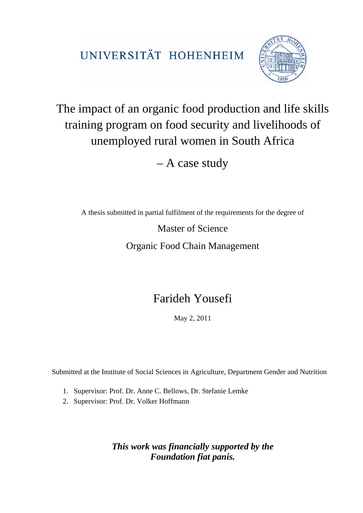UNIVERSITÄT HOHENHEIM



## The impact of an organic food production and life skills training program on food security and livelihoods of unemployed rural women in South Africa

– A case study

A thesis submitted in partial fulfilment of the requirements for the degree of

Master of Science

Organic Food Chain Management

## Farideh Yousefi

May 2, 2011

Submitted at the Institute of Social Sciences in Agriculture, Department Gender and Nutrition

- 1. Supervisor: Prof. Dr. Anne C. Bellows, Dr. Stefanie Lemke
- 2. Supervisor: Prof. Dr. Volker Hoffmann

*This work was financially supported by the Foundation fiat panis.*